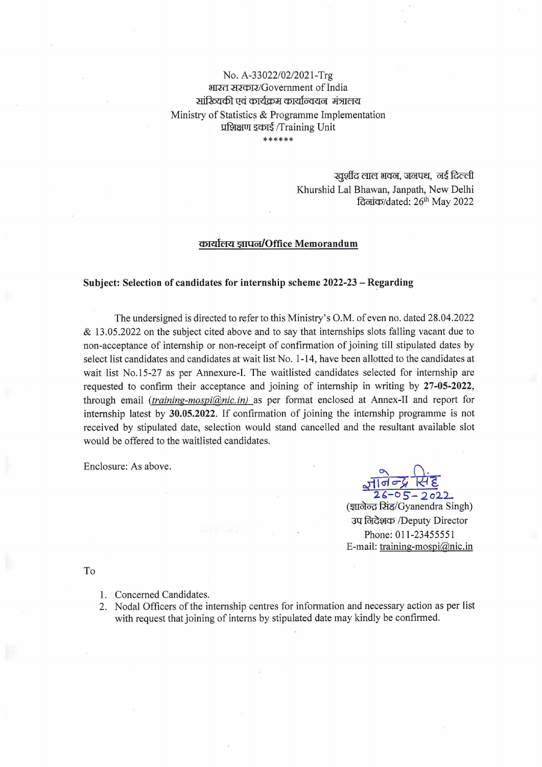## No. A-33022/02/2021-Trg भारत सरकार/Government of India सांरित्यकी एवं कार्यक्रम कार्यान्वयन मंत्रालय Ministry of Statistics & Programme Implementation प्रशिक्षण इकाई /Training Unit \*\*\*\*\*\*

खुर्शीद लाल भवन, जनपथ, नई दिल्ली Khurshid Lal Bhawan, Janpath, New Delhi दिलांक/dated: 26<sup>th</sup> May 2022

## कार्यालय ज्ञापन/Office Memorandum

## Subject: Selection of candidates for internship scheme 2022-23 – Regarding

The undersigned is directed to refer to this Ministry's O.M. of even no. dated 28.04.2022  $\&$  13.05.2022 on the subject cited above and to say that internships slots falling vacant due to non-acceptance of internship or non-receipt of confirmation of joining till stipulated dates by select list candidates and candidates at wait list No. 1-14, have been allotted to the candidates at wait list No.15-27 as per Annexure-I. The waitlisted candidates selected for internship are requested to confirm their acceptance and joining of internship in writing by 27-05-2022, through email *(training-mospi@nic.in)* as per format enclosed at Annex-II and report for internship latest by 30.05.2022. If confirmation of joining the internship programme is not received by stipulated date, selection would stand cancelled and the resultant available slot would be offered to the waitlisted candidates.

Enclosure: As above.

 $100 26 - 05 - 2022$ 

(ज्ञालेल्द्र सिंह/Gyanendra Singh) उप लिदेशक /Deputy Director Phone: 011-23455551 E-mail: training-mospi@nic.in

To

- 1. Concerned Candidates.
- 2. Nodal Officers of the internship centres for information and necessary action as per list with request that joining of interns by stipulated date may kindly be confirmed.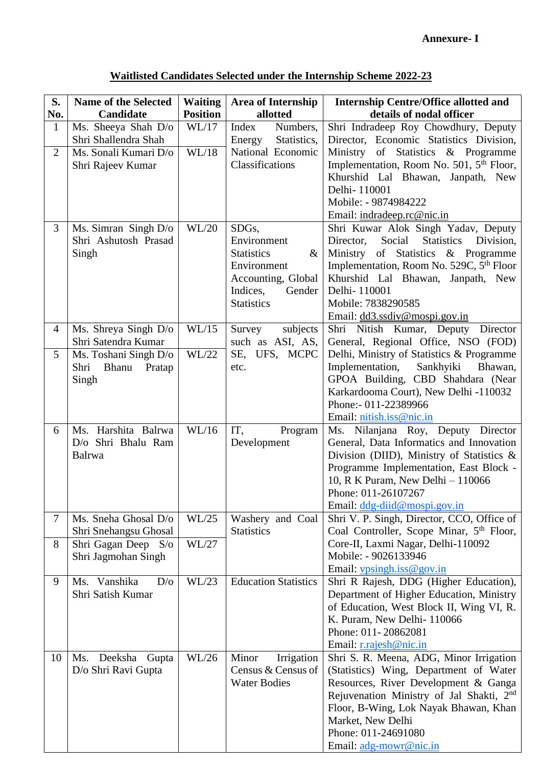| S.<br>No.      | <b>Name of the Selected</b><br>Candidate       | <b>Waiting</b><br><b>Position</b> | <b>Area of Internship</b><br>allotted      | <b>Internship Centre/Office allotted and</b><br>details of nodal officer                           |
|----------------|------------------------------------------------|-----------------------------------|--------------------------------------------|----------------------------------------------------------------------------------------------------|
| $\mathbf{1}$   | Ms. Sheeya Shah D/o<br>Shri Shallendra Shah    | WL/17                             | Index<br>Numbers,<br>Energy<br>Statistics, | Shri Indradeep Roy Chowdhury, Deputy<br>Director, Economic Statistics Division,                    |
| $\overline{2}$ | Ms. Sonali Kumari D/o<br>Shri Rajeev Kumar     | WL/18                             | National Economic<br>Classifications       | Ministry of Statistics & Programme<br>Implementation, Room No. 501, 5 <sup>th</sup> Floor,         |
|                |                                                |                                   |                                            | Khurshid Lal Bhawan, Janpath, New<br>Delhi-110001                                                  |
|                |                                                |                                   |                                            | Mobile: - 9874984222<br>Email: indradeep.rc@nic.in                                                 |
| 3              | Ms. Simran Singh $D/O$<br>Shri Ashutosh Prasad | WL/20                             | SDG <sub>s</sub> ,<br>Environment          | Shri Kuwar Alok Singh Yadav, Deputy<br>Social<br><b>Statistics</b><br>Director,<br>Division,       |
|                | Singh                                          |                                   | <b>Statistics</b><br>$\&$                  | Ministry of Statistics & Programme                                                                 |
|                |                                                |                                   | Environment<br>Accounting, Global          | Implementation, Room No. 529C, 5 <sup>th</sup> Floor<br>Khurshid Lal Bhawan, Janpath, New          |
|                |                                                |                                   | Indices,<br>Gender<br><b>Statistics</b>    | Delhi-110001<br>Mobile: 7838290585                                                                 |
|                |                                                |                                   |                                            | Email: dd3.ssdiv@mospi.gov.in                                                                      |
| $\overline{4}$ | Ms. Shreya Singh D/o<br>Shri Satendra Kumar    | WL/15                             | subjects<br>Survey<br>such as ASI, AS,     | Shri Nitish Kumar, Deputy Director<br>General, Regional Office, NSO (FOD)                          |
| 5              | Ms. Toshani Singh D/o                          | WL/22                             | SE, UFS, MCPC                              | Delhi, Ministry of Statistics & Programme                                                          |
|                | Shri<br>Bhanu<br>Pratap<br>Singh               |                                   | etc.                                       | Implementation,<br>Sankhyiki<br>Bhawan,<br>GPOA Building, CBD Shahdara (Near                       |
|                |                                                |                                   |                                            | Karkardooma Court), New Delhi -110032                                                              |
|                |                                                |                                   |                                            | Phone:- 011-22389966<br>Email: nitish.iss@nic.in                                                   |
| 6              | Ms. Harshita Balrwa                            | WL/16                             | IT,<br>Program                             | Ms. Nilanjana Roy, Deputy Director                                                                 |
|                | D/o Shri Bhalu Ram<br>Balrwa                   |                                   | Development                                | General, Data Informatics and Innovation<br>Division (DIID), Ministry of Statistics $\&$           |
|                |                                                |                                   |                                            | Programme Implementation, East Block -                                                             |
|                |                                                |                                   |                                            | 10, R K Puram, New Delhi - 110066<br>Phone: 011-26107267                                           |
|                |                                                |                                   |                                            | Email: ddg-diid@mospi.gov.in                                                                       |
| $\tau$         | Ms. Sneha Ghosal D/o<br>Shri Snehangsu Ghosal  | WL/25                             | Washery and Coal<br><b>Statistics</b>      | Shri V. P. Singh, Director, CCO, Office of<br>Coal Controller, Scope Minar, 5 <sup>th</sup> Floor, |
| 8              | Shri Gagan Deep S/o                            | WL/27                             |                                            | Core-II, Laxmi Nagar, Delhi-110092                                                                 |
|                | Shri Jagmohan Singh                            |                                   |                                            | Mobile: - 9026133946<br>Email: $vpsingh.iss@gov.in$                                                |
| 9              | Ms. Vanshika<br>D/O                            | WL/23                             | <b>Education Statistics</b>                | Shri R Rajesh, DDG (Higher Education),                                                             |
|                | Shri Satish Kumar                              |                                   |                                            | Department of Higher Education, Ministry<br>of Education, West Block II, Wing VI, R.               |
|                |                                                |                                   |                                            | K. Puram, New Delhi-110066                                                                         |
|                |                                                |                                   |                                            | Phone: 011-20862081<br>Email: r.rajesh@nic.in                                                      |
| 10             | Deeksha Gupta<br>Ms.                           | WL/26                             | Minor<br>Irrigation                        | Shri S. R. Meena, ADG, Minor Irrigation                                                            |
|                | D/o Shri Ravi Gupta                            |                                   | Census & Census of                         | (Statistics) Wing, Department of Water                                                             |
|                |                                                |                                   | <b>Water Bodies</b>                        | Resources, River Development & Ganga<br>Rejuvenation Ministry of Jal Shakti, 2nd                   |
|                |                                                |                                   |                                            | Floor, B-Wing, Lok Nayak Bhawan, Khan                                                              |
|                |                                                |                                   |                                            | Market, New Delhi<br>Phone: 011-24691080                                                           |
|                |                                                |                                   |                                            | Email: adg-mowr@nic.in                                                                             |

| Waitlisted Candidates Selected under the Internship Scheme 2022-23 |  |  |  |  |
|--------------------------------------------------------------------|--|--|--|--|
|                                                                    |  |  |  |  |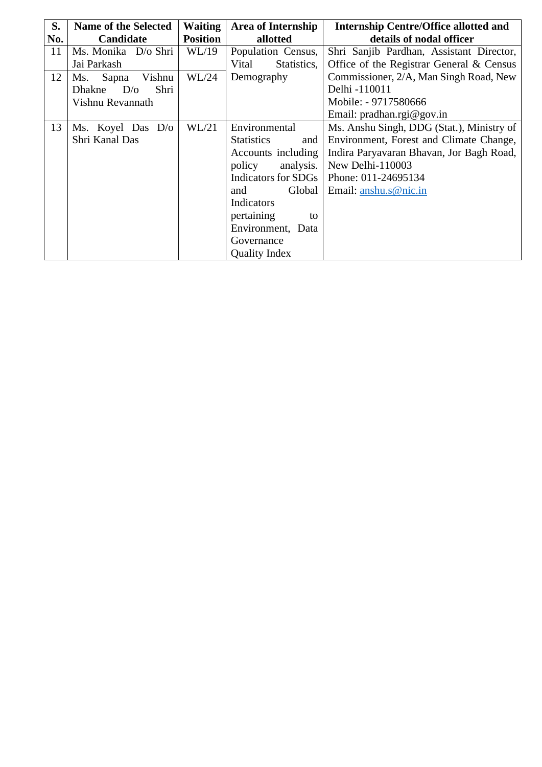| S.  | <b>Name of the Selected</b>  | <b>Waiting</b>  | <b>Area of Internship</b> | <b>Internship Centre/Office allotted and</b> |
|-----|------------------------------|-----------------|---------------------------|----------------------------------------------|
| No. | Candidate                    | <b>Position</b> | allotted                  | details of nodal officer                     |
| 11  | Ms. Monika D/o Shri          | WL/19           | Population Census,        | Shri Sanjib Pardhan, Assistant Director,     |
|     | Jai Parkash                  |                 | Statistics,<br>Vital      | Office of the Registrar General & Census     |
| 12  | Sapna<br>Vishnu<br>Ms.       | WL/24           | Demography                | Commissioner, 2/A, Man Singh Road, New       |
|     | D/O<br>Shri<br><b>Dhakne</b> |                 |                           | Delhi -110011                                |
|     | Vishnu Revannath             |                 |                           | Mobile: - 9717580666                         |
|     |                              |                 |                           | Email: pradhan.rgi@gov.in                    |
| 13  | Ms. Koyel Das D/o            | WL/21           | Environmental             | Ms. Anshu Singh, DDG (Stat.), Ministry of    |
|     | Shri Kanal Das               |                 | <b>Statistics</b><br>and  | Environment, Forest and Climate Change,      |
|     |                              |                 | Accounts including        | Indira Paryavaran Bhavan, Jor Bagh Road,     |
|     |                              |                 | analysis.<br>policy       | New Delhi-110003                             |
|     |                              |                 | Indicators for SDGs       | Phone: 011-24695134                          |
|     |                              |                 | Global<br>and             | Email: anshu.s@nic.in                        |
|     |                              |                 | Indicators                |                                              |
|     |                              |                 | pertaining<br>to          |                                              |
|     |                              |                 | Environment, Data         |                                              |
|     |                              |                 | Governance                |                                              |
|     |                              |                 | <b>Quality Index</b>      |                                              |